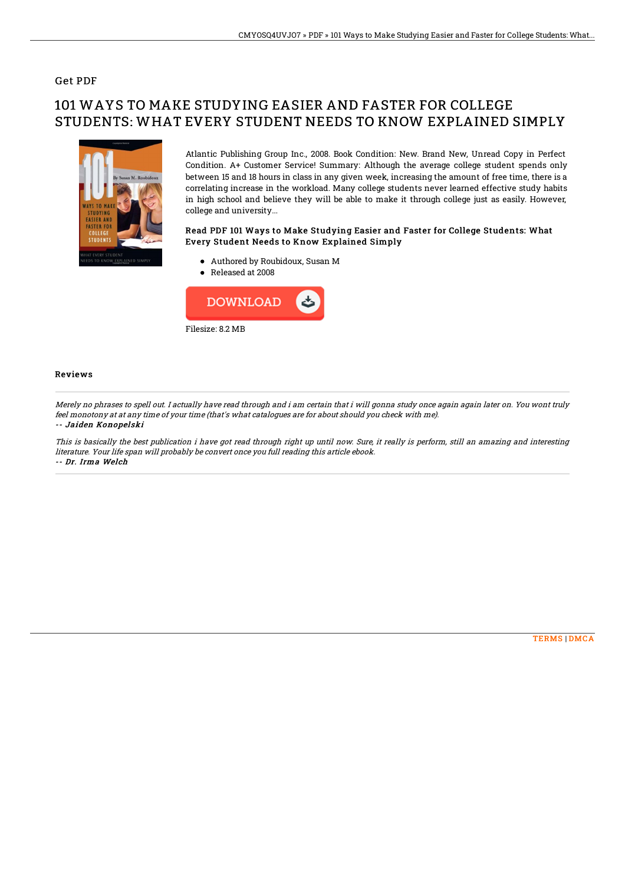## Get PDF

# 101 WAYS TO MAKE STUDYING EASIER AND FASTER FOR COLLEGE STUDENTS: WHAT EVERY STUDENT NEEDS TO KNOW EXPLAINED SIMPLY



Atlantic Publishing Group Inc., 2008. Book Condition: New. Brand New, Unread Copy in Perfect Condition. A+ Customer Service! Summary: Although the average college student spends only between 15 and 18 hours in class in any given week, increasing the amount of free time, there is a correlating increase in the workload. Many college students never learned effective study habits in high school and believe they will be able to make it through college just as easily. However, college and university...

### Read PDF 101 Ways to Make Studying Easier and Faster for College Students: What Every Student Needs to Know Explained Simply

- Authored by Roubidoux, Susan M
- Released at 2008



#### Reviews

Merely no phrases to spell out. I actually have read through and i am certain that i will gonna study once again again later on. You wont truly feel monotony at at any time of your time (that's what catalogues are for about should you check with me). -- Jaiden Konopelski

This is basically the best publication i have got read through right up until now. Sure, it really is perform, still an amazing and interesting literature. Your life span will probably be convert once you full reading this article ebook. -- Dr. Irma Welch